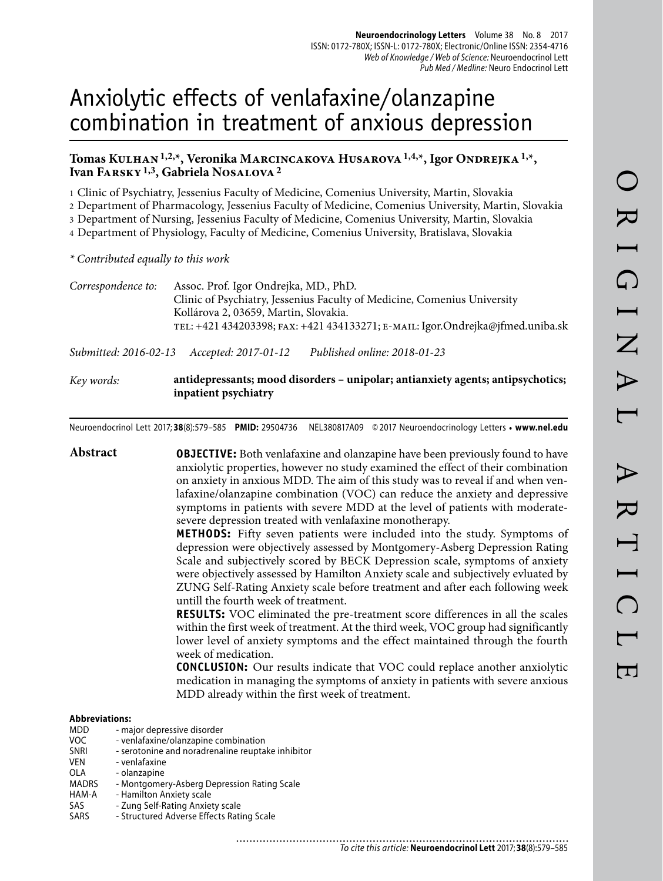# Anxiolytic effects of venlafaxine/olanzapine combination in treatment of anxious depression

## **Tomas Kulhan 1,2,\*, Veronika Marcincakova Husarova 1,4,\*, Igor Ondrejka 1,\*, Ivan Farsky 1,3, Gabriela Nosalova 2**

1 Clinic of Psychiatry, Jessenius Faculty of Medicine, Comenius University, Martin, Slovakia

2 Department of Pharmacology, Jessenius Faculty of Medicine, Comenius University, Martin, Slovakia

3 Department of Nursing, Jessenius Faculty of Medicine, Comenius University, Martin, Slovakia

4 Department of Physiology, Faculty of Medicine, Comenius University, Bratislava, Slovakia

*\* Contributed equally to this work*

| Correspondence to: | Assoc. Prof. Igor Ondrejka, MD., PhD.                                          |
|--------------------|--------------------------------------------------------------------------------|
|                    | Clinic of Psychiatry, Jessenius Faculty of Medicine, Comenius University       |
|                    | Kollárova 2, 03659, Martin, Slovakia.                                          |
|                    | TEL: +421 434203398; FAX: +421 434133271; E-MAIL: Igor.Ondrejka@jfmed.uniba.sk |
|                    |                                                                                |

*Submitted: 2016-02-13 Accepted: 2017-01-12 Published online: 2018-01-23*

*Key words:* **antidepressants; mood disorders – unipolar; antianxiety agents; antipsychotics; inpatient psychiatry**

Neuroendocrinol Lett 2017; **38**(8):579–585 **PMID:** 29504736 NEL380817A09 © 2017 Neuroendocrinology Letters • **www.nel.edu**

**Abstract OBJECTIVE:** Both venlafaxine and olanzapine have been previously found to have anxiolytic properties, however no study examined the effect of their combination on anxiety in anxious MDD. The aim of this study was to reveal if and when venlafaxine/olanzapine combination (VOC) can reduce the anxiety and depressive symptoms in patients with severe MDD at the level of patients with moderatesevere depression treated with venlafaxine monotherapy.

**METHODS:** Fifty seven patients were included into the study. Symptoms of depression were objectively assessed by Montgomery-Asberg Depression Rating Scale and subjectively scored by BECK Depression scale, symptoms of anxiety were objectively assessed by Hamilton Anxiety scale and subjectively evluated by ZUNG Self-Rating Anxiety scale before treatment and after each following week untill the fourth week of treatment.

**RESULTS:** VOC eliminated the pre-treatment score differences in all the scales within the first week of treatment. At the third week, VOC group had significantly lower level of anxiety symptoms and the effect maintained through the fourth week of medication.

**CONCLUSION:** Our results indicate that VOC could replace another anxiolytic medication in managing the symptoms of anxiety in patients with severe anxious MDD already within the first week of treatment.

#### **Abbreviations:**

MDD - major depressive disorder

- VOC venlafaxine/olanzapine combination
- SNRI serotonine and noradrenaline reuptake inhibitor
- VEN venlafaxine
- OLA olanzapine
- MADRS Montgomery-Asberg Depression Rating Scale
- HAM-A Hamilton Anxiety scale
- SAS Zung Self-Rating Anxiety scale
- SARS Structured Adverse Effects Rating Scale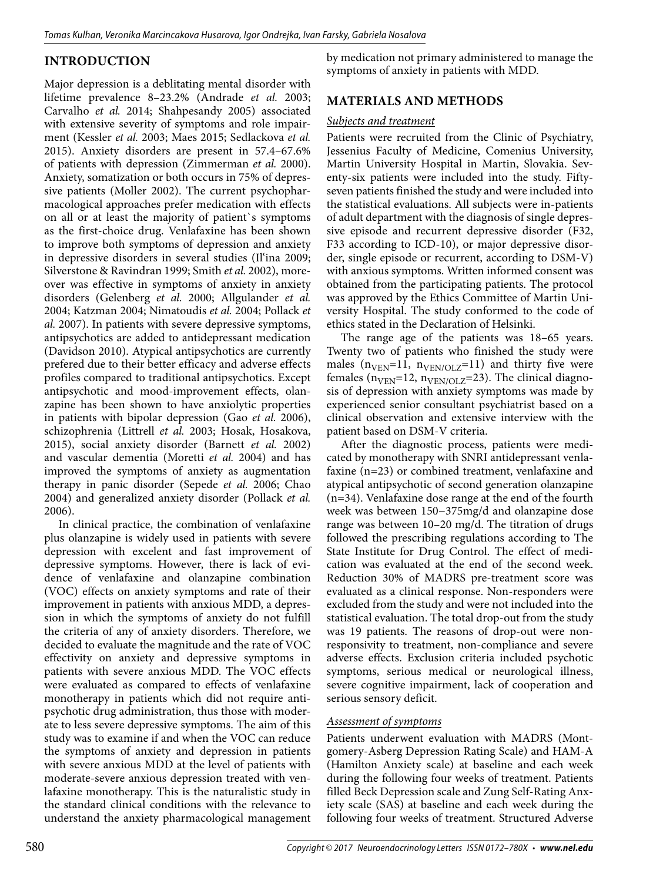# **INTRODUCTION**

Major depression is a deblitating mental disorder with lifetime prevalence 8–23.2% (Andrade *et al.* 2003; Carvalho *et al.* 2014; Shahpesandy 2005) associated with extensive severity of symptoms and role impairment (Kessler *et al.* 2003; Maes 2015; Sedlackova *et al.*  2015). Anxiety disorders are present in 57.4–67.6% of patients with depression (Zimmerman *et al.* 2000). Anxiety, somatization or both occurs in 75% of depressive patients (Moller 2002). The current psychopharmacological approaches prefer medication with effects on all or at least the majority of patient`s symptoms as the first-choice drug. Venlafaxine has been shown to improve both symptoms of depression and anxiety in depressive disorders in several studies (Il'ina 2009; Silverstone & Ravindran 1999; Smith *et al.* 2002), moreover was effective in symptoms of anxiety in anxiety disorders (Gelenberg *et al.* 2000; Allgulander *et al.*  2004; Katzman 2004; Nimatoudis *et al.* 2004; Pollack *et al.* 2007). In patients with severe depressive symptoms, antipsychotics are added to antidepressant medication (Davidson 2010). Atypical antipsychotics are currently prefered due to their better efficacy and adverse effects profiles compared to traditional antipsychotics. Except antipsychotic and mood-improvement effects, olanzapine has been shown to have anxiolytic properties in patients with bipolar depression (Gao *et al.* 2006), schizophrenia (Littrell *et al.* 2003; Hosak, Hosakova, 2015), social anxiety disorder (Barnett *et al.* 2002) and vascular dementia (Moretti *et al.* 2004) and has improved the symptoms of anxiety as augmentation therapy in panic disorder (Sepede *et al.* 2006; Chao 2004) and generalized anxiety disorder (Pollack *et al.*  2006).

In clinical practice, the combination of venlafaxine plus olanzapine is widely used in patients with severe depression with excelent and fast improvement of depressive symptoms. However, there is lack of evidence of venlafaxine and olanzapine combination (VOC) effects on anxiety symptoms and rate of their improvement in patients with anxious MDD, a depression in which the symptoms of anxiety do not fulfill the criteria of any of anxiety disorders. Therefore, we decided to evaluate the magnitude and the rate of VOC effectivity on anxiety and depressive symptoms in patients with severe anxious MDD. The VOC effects were evaluated as compared to effects of venlafaxine monotherapy in patients which did not require antipsychotic drug administration, thus those with moderate to less severe depressive symptoms. The aim of this study was to examine if and when the VOC can reduce the symptoms of anxiety and depression in patients with severe anxious MDD at the level of patients with moderate-severe anxious depression treated with venlafaxine monotherapy. This is the naturalistic study in the standard clinical conditions with the relevance to understand the anxiety pharmacological management

by medication not primary administered to manage the symptoms of anxiety in patients with MDD.

## **MATERIALS AND METHODS**

#### *Subjects and treatment*

Patients were recruited from the Clinic of Psychiatry, Jessenius Faculty of Medicine, Comenius University, Martin University Hospital in Martin, Slovakia. Seventy-six patients were included into the study. Fiftyseven patients finished the study and were included into the statistical evaluations. All subjects were in-patients of adult department with the diagnosis of single depressive episode and recurrent depressive disorder (F32, F33 according to ICD-10), or major depressive disorder, single episode or recurrent, according to DSM-V) with anxious symptoms. Written informed consent was obtained from the participating patients. The protocol was approved by the Ethics Committee of Martin University Hospital. The study conformed to the code of ethics stated in the Declaration of Helsinki.

The range age of the patients was 18–65 years. Twenty two of patients who finished the study were males ( $n_{VEN}=11$ ,  $n_{VEN/OLZ}=11$ ) and thirty five were females ( $n<sub>VEN</sub>=12$ ,  $n<sub>VEN/OLZ</sub>=23$ ). The clinical diagnosis of depression with anxiety symptoms was made by experienced senior consultant psychiatrist based on a clinical observation and extensive interview with the patient based on DSM-V criteria.

After the diagnostic process, patients were medicated by monotherapy with SNRI antidepressant venlafaxine (n=23) or combined treatment, venlafaxine and atypical antipsychotic of second generation olanzapine (n=34). Venlafaxine dose range at the end of the fourth week was between 150−375mg/d and olanzapine dose range was between 10–20 mg/d. The titration of drugs followed the prescribing regulations according to The State Institute for Drug Control. The effect of medication was evaluated at the end of the second week. Reduction 30% of MADRS pre-treatment score was evaluated as a clinical response. Non-responders were excluded from the study and were not included into the statistical evaluation. The total drop-out from the study was 19 patients. The reasons of drop-out were nonresponsivity to treatment, non-compliance and severe adverse effects. Exclusion criteria included psychotic symptoms, serious medical or neurological illness, severe cognitive impairment, lack of cooperation and serious sensory deficit.

#### *Assessment of symptoms*

Patients underwent evaluation with MADRS (Montgomery-Asberg Depression Rating Scale) and HAM-A (Hamilton Anxiety scale) at baseline and each week during the following four weeks of treatment. Patients filled Beck Depression scale and Zung Self-Rating Anxiety scale (SAS) at baseline and each week during the following four weeks of treatment. Structured Adverse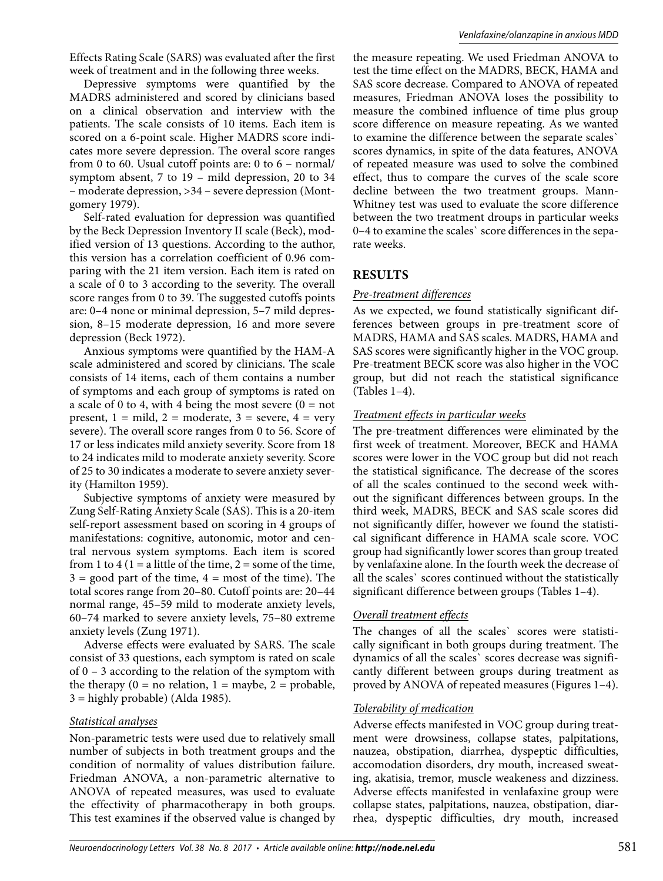Effects Rating Scale (SARS) was evaluated after the first week of treatment and in the following three weeks.

Depressive symptoms were quantified by the MADRS administered and scored by clinicians based on a clinical observation and interview with the patients. The scale consists of 10 items. Each item is scored on a 6-point scale. Higher MADRS score indicates more severe depression. The overal score ranges from 0 to 60. Usual cutoff points are: 0 to 6 – normal/ symptom absent, 7 to 19 – mild depression, 20 to 34 – moderate depression, >34 – severe depression (Montgomery 1979).

Self-rated evaluation for depression was quantified by the Beck Depression Inventory II scale (Beck), modified version of 13 questions. According to the author, this version has a correlation coefficient of 0.96 comparing with the 21 item version. Each item is rated on a scale of 0 to 3 according to the severity. The overall score ranges from 0 to 39. The suggested cutoffs points are: 0–4 none or minimal depression, 5–7 mild depression, 8–15 moderate depression, 16 and more severe depression (Beck 1972).

Anxious symptoms were quantified by the HAM-A scale administered and scored by clinicians. The scale consists of 14 items, each of them contains a number of symptoms and each group of symptoms is rated on a scale of 0 to 4, with 4 being the most severe  $(0 = not$ present,  $1 = mid$ ,  $2 = moderate$ ,  $3 = severe$ ,  $4 = very$ severe). The overall score ranges from 0 to 56. Score of 17 or less indicates mild anxiety severity. Score from 18 to 24 indicates mild to moderate anxiety severity. Score of 25 to 30 indicates a moderate to severe anxiety severity (Hamilton 1959).

Subjective symptoms of anxiety were measured by Zung Self-Rating Anxiety Scale (SAS). This is a 20-item self-report assessment based on scoring in 4 groups of manifestations: cognitive, autonomic, motor and central nervous system symptoms. Each item is scored from 1 to 4 (1 = a little of the time, 2 = some of the time,  $3 = \text{good part of the time}, 4 = \text{most of the time}.$  The total scores range from 20–80. Cutoff points are: 20–44 normal range, 45–59 mild to moderate anxiety levels, 60–74 marked to severe anxiety levels, 75–80 extreme anxiety levels (Zung 1971).

Adverse effects were evaluated by SARS. The scale consist of 33 questions, each symptom is rated on scale of 0 – 3 according to the relation of the symptom with the therapy ( $0 = no$  relation,  $1 = maybe$ ,  $2 = probable$ , 3 = highly probable) (Alda 1985).

#### *Statistical analyses*

Non-parametric tests were used due to relatively small number of subjects in both treatment groups and the condition of normality of values distribution failure. Friedman ANOVA, a non-parametric alternative to ANOVA of repeated measures, was used to evaluate the effectivity of pharmacotherapy in both groups. This test examines if the observed value is changed by the measure repeating. We used Friedman ANOVA to test the time effect on the MADRS, BECK, HAMA and SAS score decrease. Compared to ANOVA of repeated measures, Friedman ANOVA loses the possibility to measure the combined influence of time plus group score difference on measure repeating. As we wanted to examine the difference between the separate scales` scores dynamics, in spite of the data features, ANOVA of repeated measure was used to solve the combined effect, thus to compare the curves of the scale score decline between the two treatment groups. Mann-Whitney test was used to evaluate the score difference between the two treatment droups in particular weeks 0–4 to examine the scales` score differences in the separate weeks.

#### **RESULTS**

#### *Pre-treatment differences*

As we expected, we found statistically significant differences between groups in pre-treatment score of MADRS, HAMA and SAS scales. MADRS, HAMA and SAS scores were significantly higher in the VOC group. Pre-treatment BECK score was also higher in the VOC group, but did not reach the statistical significance (Tables 1–4).

#### *Treatment effects in particular weeks*

The pre-treatment differences were eliminated by the first week of treatment. Moreover, BECK and HAMA scores were lower in the VOC group but did not reach the statistical significance. The decrease of the scores of all the scales continued to the second week without the significant differences between groups. In the third week, MADRS, BECK and SAS scale scores did not significantly differ, however we found the statistical significant difference in HAMA scale score. VOC group had significantly lower scores than group treated by venlafaxine alone. In the fourth week the decrease of all the scales` scores continued without the statistically significant difference between groups (Tables 1–4).

#### *Overall treatment effects*

The changes of all the scales` scores were statistically significant in both groups during treatment. The dynamics of all the scales` scores decrease was significantly different between groups during treatment as proved by ANOVA of repeated measures (Figures 1–4).

#### *Tolerability of medication*

Adverse effects manifested in VOC group during treatment were drowsiness, collapse states, palpitations, nauzea, obstipation, diarrhea, dyspeptic difficulties, accomodation disorders, dry mouth, increased sweating, akatisia, tremor, muscle weakeness and dizziness. Adverse effects manifested in venlafaxine group were collapse states, palpitations, nauzea, obstipation, diarrhea, dyspeptic difficulties, dry mouth, increased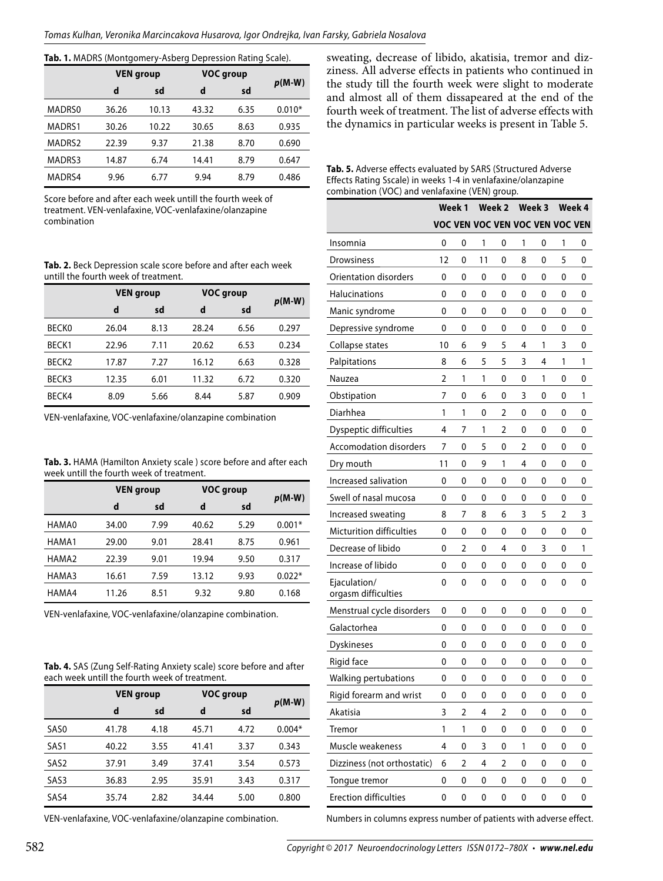|  | Tab. 1. MADRS (Montgomery-Asberg Depression Rating Scale). |  |  |
|--|------------------------------------------------------------|--|--|
|  |                                                            |  |  |

|        | <b>VEN</b> group |       | VOC group |      |          |
|--------|------------------|-------|-----------|------|----------|
|        | d                | sd    | d         | sd   | $p(M-W)$ |
| MADRS0 | 36.26            | 10.13 | 43.32     | 6.35 | $0.010*$ |
| MADRS1 | 30.26            | 10.22 | 30.65     | 8.63 | 0.935    |
| MADRS2 | 22.39            | 9.37  | 21.38     | 8.70 | 0.690    |
| MADRS3 | 14.87            | 6.74  | 14.41     | 8.79 | 0.647    |
| MADRS4 | 9.96             | 6.77  | 9.94      | 8.79 | 0.486    |

Score before and after each week untill the fourth week of treatment. VEN-venlafaxine, VOC-venlafaxine/olanzapine combination

**Tab. 2.** Beck Depression scale score before and after each week untill the fourth week of treatment.

|                   | <b>VEN</b> group |      | VOC group |      |          |
|-------------------|------------------|------|-----------|------|----------|
|                   | d                | sd   | d         | sd   | $p(M-W)$ |
| <b>BECKO</b>      | 26.04            | 8.13 | 28.24     | 6.56 | 0.297    |
| BECK1             | 22.96            | 7.11 | 20.62     | 6.53 | 0.234    |
| BECK <sub>2</sub> | 17.87            | 7.27 | 16.12     | 6.63 | 0.328    |
| BECK3             | 12.35            | 6.01 | 11.32     | 6.72 | 0.320    |
| BECK4             | 8.09             | 5.66 | 8.44      | 5.87 | 0.909    |

VEN-venlafaxine, VOC-venlafaxine/olanzapine combination

| <b>Tab. 3.</b> HAMA (Hamilton Anxiety scale) score before and after each |
|--------------------------------------------------------------------------|
| week untill the fourth week of treatment.                                |

|                   | <b>VEN</b> group |      | VOC group |      |          |
|-------------------|------------------|------|-----------|------|----------|
|                   | d                | sd   | d         | sd   | $p(M-W)$ |
| HAMA0             | 34.00            | 7.99 | 40.62     | 5.29 | $0.001*$ |
| HAMA1             | 29.00            | 9.01 | 28.41     | 8.75 | 0.961    |
| HAMA <sub>2</sub> | 22.39            | 9.01 | 19.94     | 9.50 | 0.317    |
| HAMA3             | 16.61            | 7.59 | 13.12     | 9.93 | $0.022*$ |
| HAMA4             | 11.26            | 8.51 | 9.32      | 9.80 | 0.168    |

VEN-venlafaxine, VOC-venlafaxine/olanzapine combination.

**Tab. 4.** SAS (Zung Self-Rating Anxiety scale) score before and after each week untill the fourth week of treatment.

|                  | <b>VEN</b> group |      | VOC group |      |          |
|------------------|------------------|------|-----------|------|----------|
|                  | d                | sd   | d         | sd   | $p(M-W)$ |
| SAS0             | 41.78            | 4.18 | 45.71     | 4.72 | $0.004*$ |
| SAS1             | 40.22            | 3.55 | 41.41     | 3.37 | 0.343    |
| SAS <sub>2</sub> | 37.91            | 3.49 | 37.41     | 3.54 | 0.573    |
| SAS3             | 36.83            | 2.95 | 35.91     | 3.43 | 0.317    |
| SAS4             | 35.74            | 2.82 | 34.44     | 5.00 | 0.800    |

VEN-venlafaxine, VOC-venlafaxine/olanzapine combination.

sweating, decrease of libido, akatisia, tremor and dizziness. All adverse effects in patients who continued in the study till the fourth week were slight to moderate and almost all of them dissapeared at the end of the fourth week of treatment. The list of adverse effects with the dynamics in particular weeks is present in Table 5.

| Tab. 5. Adverse effects evaluated by SARS (Structured Adverse |
|---------------------------------------------------------------|
| Effects Rating Sscale) in weeks 1-4 in venlafaxine/olanzapine |
| combination (VOC) and venlafaxine (VEN) group.                |

|                                     |                | Week 1 |    | Week 2                          |   | Week 3 |   | Week 4 |
|-------------------------------------|----------------|--------|----|---------------------------------|---|--------|---|--------|
|                                     |                |        |    | VOC VEN VOC VEN VOC VEN VOC VEN |   |        |   |        |
| Insomnia                            | 0              | 0      | 1  | 0                               | 1 | 0      | 1 | 0      |
| Drowsiness                          | 12             | 0      | 11 | 0                               | 8 | 0      | 5 | 0      |
| Orientation disorders               | 0              | 0      | 0  | 0                               | 0 | 0      | 0 | 0      |
| Halucinations                       | 0              | 0      | 0  | 0                               | 0 | 0      | 0 | 0      |
| Manic syndrome                      | 0              | 0      | 0  | 0                               | 0 | 0      | 0 | 0      |
| Depressive syndrome                 | 0              | 0      | 0  | 0                               | 0 | 0      | 0 | 0      |
| Collapse states                     | 10             | 6      | 9  | 5                               | 4 | 1      | 3 | 0      |
| Palpitations                        | 8              | 6      | 5  | 5                               | 3 | 4      | 1 | 1      |
| Nauzea                              | $\overline{2}$ | 1      | 1  | 0                               | 0 | 1      | 0 | 0      |
| Obstipation                         | 7              | 0      | 6  | 0                               | 3 | 0      | 0 | 1      |
| Diarhhea                            | 1              | 1      | 0  | 2                               | 0 | 0      | 0 | 0      |
| Dyspeptic difficulties              | 4              | 7      | 1  | 2                               | 0 | 0      | 0 | 0      |
| <b>Accomodation disorders</b>       | 7              | 0      | 5  | 0                               | 2 | 0      | 0 | 0      |
| Dry mouth                           | 11             | 0      | 9  | 1                               | 4 | 0      | 0 | 0      |
| Increased salivation                | 0              | 0      | 0  | 0                               | 0 | 0      | 0 | 0      |
| Swell of nasal mucosa               | 0              | 0      | 0  | 0                               | 0 | 0      | 0 | 0      |
| Increased sweating                  | 8              | 7      | 8  | 6                               | 3 | 5      | 2 | 3      |
| Micturition difficulties            | 0              | 0      | 0  | 0                               | 0 | 0      | 0 | 0      |
| Decrease of libido                  | 0              | 2      | 0  | 4                               | 0 | 3      | 0 | 1      |
| Increase of libido                  | 0              | 0      | 0  | 0                               | 0 | 0      | 0 | 0      |
| Ejaculation/<br>orgasm difficulties | 0              | 0      | 0  | 0                               | 0 | 0      | 0 | 0      |
| Menstrual cycle disorders           | 0              | 0      | 0  | 0                               | 0 | 0      | 0 | 0      |
| Galactorhea                         | 0              | 0      | 0  | 0                               | 0 | 0      | 0 | 0      |
| <b>Dyskineses</b>                   | 0              | 0      | 0  | 0                               | 0 | 0      | 0 | 0      |
| Rigid face                          | 0              | 0      | 0  | 0                               | 0 | 0      | 0 | 0      |
| Walking pertubations                | 0              | 0      | 0  | 0                               | 0 | 0      | 0 | 0      |
| Rigid forearm and wrist             | 0              | 0      | 0  | $\pmb{0}$                       | 0 | 0      | 0 | 0      |
| Akatisia                            | 3              | 2      | 4  | 2                               | 0 | 0      | 0 | 0      |
| Tremor                              | 1              | 1      | 0  | 0                               | 0 | 0      | 0 | 0      |
| Muscle weakeness                    | 4              | 0      | 3  | 0                               | 1 | 0      | 0 | 0      |
| Dizziness (not orthostatic)         | 6              | 2      | 4  | 2                               | 0 | 0      | 0 | 0      |
| Tongue tremor                       | 0              | 0      | 0  | 0                               | 0 | 0      | 0 | 0      |
| Erection difficulties               | 0              | 0      | 0  | 0                               | 0 | 0      | 0 | 0      |

Numbers in columns express number of patients with adverse effect.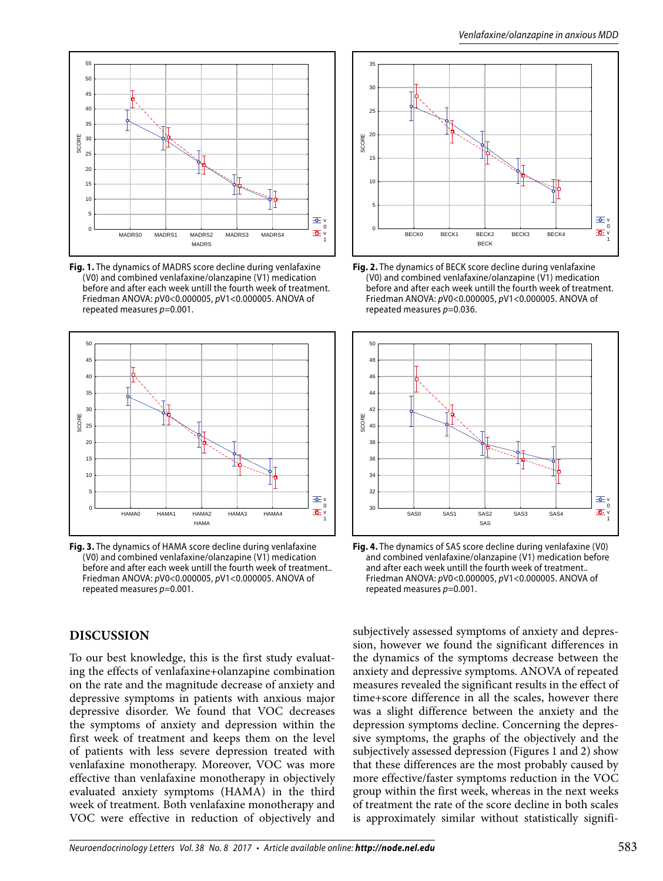

**Fig. 1.** The dynamics of MADRS score decline during venlafaxine (V0) and combined venlafaxine/olanzapine (V1) medication before and after each week untill the fourth week of treatment. Friedman ANOVA: pV0<0.000005, pV1<0.000005. ANOVA of repeated measures  $p=0.001$ .



**Fig. 3.** The dynamics of HAMA score decline during venlafaxine (V0) and combined venlafaxine/olanzapine (V1) medication before and after each week untill the fourth week of treatment.. Friedman ANOVA: pV0<0.000005, pV1<0.000005. ANOVA of repeated measures  $p=0.001$ .

## **DISCUSSION**

To our best knowledge, this is the first study evaluating the effects of venlafaxine+olanzapine combination on the rate and the magnitude decrease of anxiety and depressive symptoms in patients with anxious major depressive disorder. We found that VOC decreases the symptoms of anxiety and depression within the first week of treatment and keeps them on the level of patients with less severe depression treated with venlafaxine monotherapy. Moreover, VOC was more effective than venlafaxine monotherapy in objectively evaluated anxiety symptoms (HAMA) in the third week of treatment. Both venlafaxine monotherapy and VOC were effective in reduction of objectively and



**Fig. 2.** The dynamics of BECK score decline during venlafaxine (V0) and combined venlafaxine/olanzapine (V1) medication before and after each week untill the fourth week of treatment. Friedman ANOVA: pV0<0.000005, pV1<0.000005. ANOVA of repeated measures  $p=0.036$ .



**Fig. 4.** The dynamics of SAS score decline during venlafaxine (V0) and combined venlafaxine/olanzapine (V1) medication before and after each week untill the fourth week of treatment.. Friedman ANOVA: pV0<0.000005, pV1<0.000005. ANOVA of repeated measures  $p=0.001$ .

subjectively assessed symptoms of anxiety and depression, however we found the significant differences in the dynamics of the symptoms decrease between the anxiety and depressive symptoms. ANOVA of repeated measures revealed the significant results in the effect of time+score difference in all the scales, however there was a slight difference between the anxiety and the depression symptoms decline. Concerning the depressive symptoms, the graphs of the objectively and the subjectively assessed depression (Figures 1 and 2) show that these differences are the most probably caused by more effective/faster symptoms reduction in the VOC group within the first week, whereas in the next weeks of treatment the rate of the score decline in both scales is approximately similar without statistically signifi-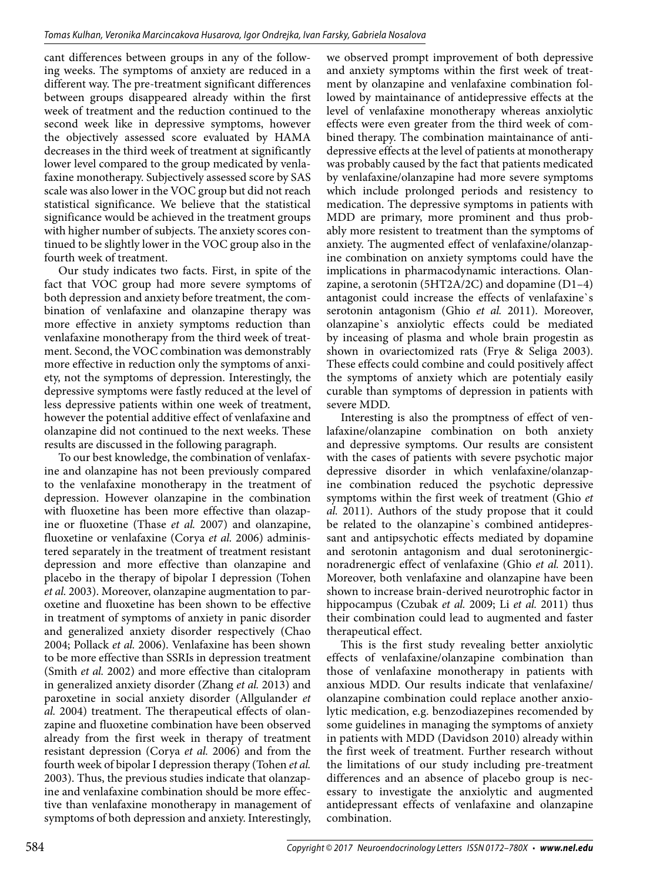cant differences between groups in any of the following weeks. The symptoms of anxiety are reduced in a different way. The pre-treatment significant differences between groups disappeared already within the first week of treatment and the reduction continued to the second week like in depressive symptoms, however the objectively assessed score evaluated by HAMA decreases in the third week of treatment at significantly lower level compared to the group medicated by venlafaxine monotherapy. Subjectively assessed score by SAS scale was also lower in the VOC group but did not reach statistical significance. We believe that the statistical significance would be achieved in the treatment groups with higher number of subjects. The anxiety scores continued to be slightly lower in the VOC group also in the fourth week of treatment.

Our study indicates two facts. First, in spite of the fact that VOC group had more severe symptoms of both depression and anxiety before treatment, the combination of venlafaxine and olanzapine therapy was more effective in anxiety symptoms reduction than venlafaxine monotherapy from the third week of treatment. Second, the VOC combination was demonstrably more effective in reduction only the symptoms of anxiety, not the symptoms of depression. Interestingly, the depressive symptoms were fastly reduced at the level of less depressive patients within one week of treatment, however the potential additive effect of venlafaxine and olanzapine did not continued to the next weeks. These results are discussed in the following paragraph.

To our best knowledge, the combination of venlafaxine and olanzapine has not been previously compared to the venlafaxine monotherapy in the treatment of depression. However olanzapine in the combination with fluoxetine has been more effective than olazapine or fluoxetine (Thase *et al.* 2007) and olanzapine, fluoxetine or venlafaxine (Corya *et al.* 2006) administered separately in the treatment of treatment resistant depression and more effective than olanzapine and placebo in the therapy of bipolar I depression (Tohen *et al.* 2003). Moreover, olanzapine augmentation to paroxetine and fluoxetine has been shown to be effective in treatment of symptoms of anxiety in panic disorder and generalized anxiety disorder respectively (Chao 2004; Pollack *et al.* 2006). Venlafaxine has been shown to be more effective than SSRIs in depression treatment (Smith *et al.* 2002) and more effective than citalopram in generalized anxiety disorder (Zhang *et al.* 2013) and paroxetine in social anxiety disorder (Allgulander *et al.* 2004) treatment. The therapeutical effects of olanzapine and fluoxetine combination have been observed already from the first week in therapy of treatment resistant depression (Corya *et al.* 2006) and from the fourth week of bipolar I depression therapy (Tohen *et al.*  2003). Thus, the previous studies indicate that olanzapine and venlafaxine combination should be more effective than venlafaxine monotherapy in management of symptoms of both depression and anxiety. Interestingly,

we observed prompt improvement of both depressive and anxiety symptoms within the first week of treatment by olanzapine and venlafaxine combination followed by maintainance of antidepressive effects at the level of venlafaxine monotherapy whereas anxiolytic effects were even greater from the third week of combined therapy. The combination maintainance of antidepressive effects at the level of patients at monotherapy was probably caused by the fact that patients medicated by venlafaxine/olanzapine had more severe symptoms which include prolonged periods and resistency to medication. The depressive symptoms in patients with MDD are primary, more prominent and thus probably more resistent to treatment than the symptoms of anxiety. The augmented effect of venlafaxine/olanzapine combination on anxiety symptoms could have the implications in pharmacodynamic interactions. Olanzapine, a serotonin (5HT2A/2C) and dopamine (D1–4) antagonist could increase the effects of venlafaxine`s serotonin antagonism (Ghio *et al.* 2011). Moreover, olanzapine`s anxiolytic effects could be mediated by inceasing of plasma and whole brain progestin as shown in ovariectomized rats (Frye & Seliga 2003). These effects could combine and could positively affect the symptoms of anxiety which are potentialy easily curable than symptoms of depression in patients with severe MDD.

Interesting is also the promptness of effect of venlafaxine/olanzapine combination on both anxiety and depressive symptoms. Our results are consistent with the cases of patients with severe psychotic major depressive disorder in which venlafaxine/olanzapine combination reduced the psychotic depressive symptoms within the first week of treatment (Ghio *et al.* 2011). Authors of the study propose that it could be related to the olanzapine`s combined antidepressant and antipsychotic effects mediated by dopamine and serotonin antagonism and dual serotoninergicnoradrenergic effect of venlafaxine (Ghio *et al.* 2011). Moreover, both venlafaxine and olanzapine have been shown to increase brain-derived neurotrophic factor in hippocampus (Czubak *et al.* 2009; Li *et al.* 2011) thus their combination could lead to augmented and faster therapeutical effect.

This is the first study revealing better anxiolytic effects of venlafaxine/olanzapine combination than those of venlafaxine monotherapy in patients with anxious MDD. Our results indicate that venlafaxine/ olanzapine combination could replace another anxiolytic medication, e.g. benzodiazepines recomended by some guidelines in managing the symptoms of anxiety in patients with MDD (Davidson 2010) already within the first week of treatment. Further research without the limitations of our study including pre-treatment differences and an absence of placebo group is necessary to investigate the anxiolytic and augmented antidepressant effects of venlafaxine and olanzapine combination.